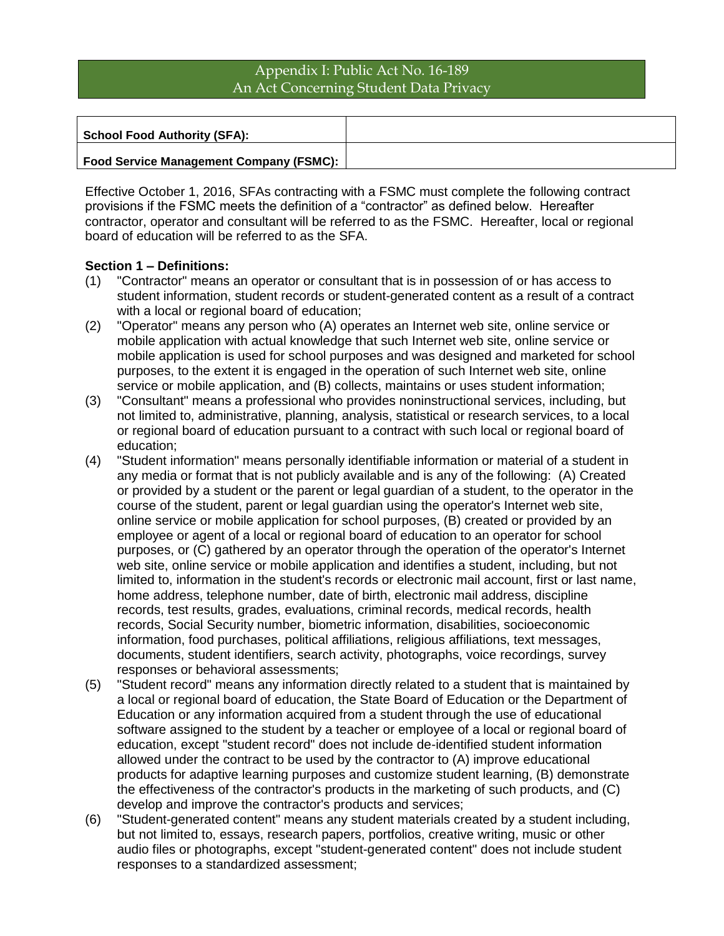# Appendix I: Public Act No. 16-189 An Act Concerning Student Data Privacy

**School Food Authority (SFA):**

#### **Food Service Management Company (FSMC):**

Effective October 1, 2016, SFAs contracting with a FSMC must complete the following contract provisions if the FSMC meets the definition of a "contractor" as defined below. Hereafter contractor, operator and consultant will be referred to as the FSMC. Hereafter, local or regional board of education will be referred to as the SFA.

### **Section 1 – Definitions:**

- (1) "Contractor" means an operator or consultant that is in possession of or has access to student information, student records or student-generated content as a result of a contract with a local or regional board of education;
- (2) "Operator" means any person who (A) operates an Internet web site, online service or mobile application with actual knowledge that such Internet web site, online service or mobile application is used for school purposes and was designed and marketed for school purposes, to the extent it is engaged in the operation of such Internet web site, online service or mobile application, and (B) collects, maintains or uses student information;
- (3) "Consultant" means a professional who provides noninstructional services, including, but not limited to, administrative, planning, analysis, statistical or research services, to a local or regional board of education pursuant to a contract with such local or regional board of education;
- (4) "Student information" means personally identifiable information or material of a student in any media or format that is not publicly available and is any of the following: (A) Created or provided by a student or the parent or legal guardian of a student, to the operator in the course of the student, parent or legal guardian using the operator's Internet web site, online service or mobile application for school purposes, (B) created or provided by an employee or agent of a local or regional board of education to an operator for school purposes, or (C) gathered by an operator through the operation of the operator's Internet web site, online service or mobile application and identifies a student, including, but not limited to, information in the student's records or electronic mail account, first or last name, home address, telephone number, date of birth, electronic mail address, discipline records, test results, grades, evaluations, criminal records, medical records, health records, Social Security number, biometric information, disabilities, socioeconomic information, food purchases, political affiliations, religious affiliations, text messages, documents, student identifiers, search activity, photographs, voice recordings, survey responses or behavioral assessments;
- (5) "Student record" means any information directly related to a student that is maintained by a local or regional board of education, the State Board of Education or the Department of Education or any information acquired from a student through the use of educational software assigned to the student by a teacher or employee of a local or regional board of education, except "student record" does not include de-identified student information allowed under the contract to be used by the contractor to (A) improve educational products for adaptive learning purposes and customize student learning, (B) demonstrate the effectiveness of the contractor's products in the marketing of such products, and (C) develop and improve the contractor's products and services;
- (6) "Student-generated content" means any student materials created by a student including, but not limited to, essays, research papers, portfolios, creative writing, music or other audio files or photographs, except "student-generated content" does not include student responses to a standardized assessment;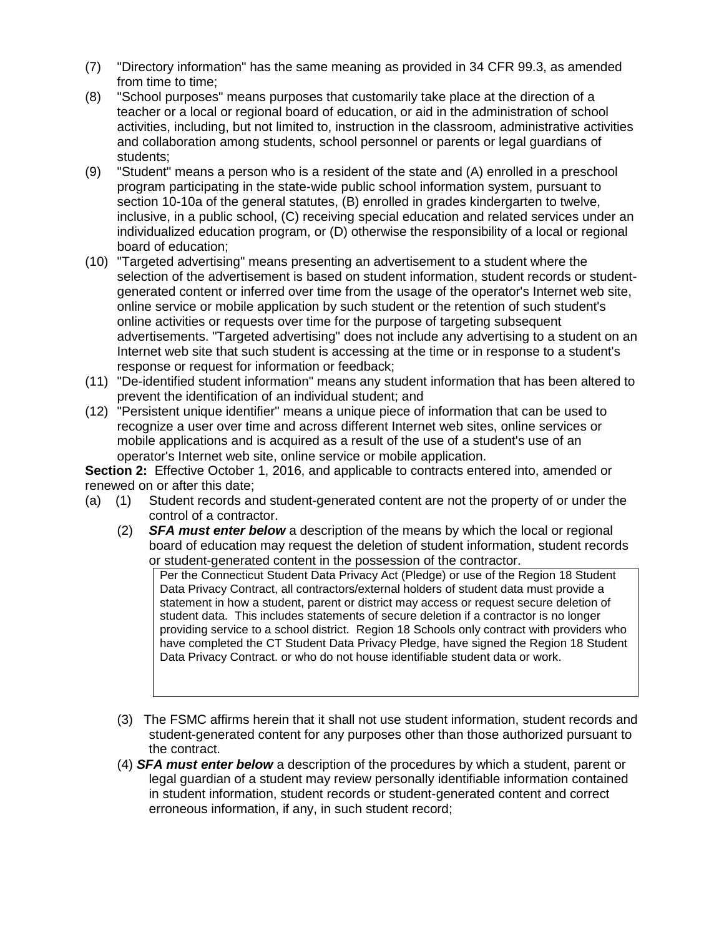- (7) "Directory information" has the same meaning as provided in 34 CFR 99.3, as amended from time to time;
- (8) "School purposes" means purposes that customarily take place at the direction of a teacher or a local or regional board of education, or aid in the administration of school activities, including, but not limited to, instruction in the classroom, administrative activities and collaboration among students, school personnel or parents or legal guardians of students;
- (9) "Student" means a person who is a resident of the state and (A) enrolled in a preschool program participating in the state-wide public school information system, pursuant to section 10-10a of the general statutes, (B) enrolled in grades kindergarten to twelve, inclusive, in a public school, (C) receiving special education and related services under an individualized education program, or (D) otherwise the responsibility of a local or regional board of education;
- (10) "Targeted advertising" means presenting an advertisement to a student where the selection of the advertisement is based on student information, student records or studentgenerated content or inferred over time from the usage of the operator's Internet web site, online service or mobile application by such student or the retention of such student's online activities or requests over time for the purpose of targeting subsequent advertisements. "Targeted advertising" does not include any advertising to a student on an Internet web site that such student is accessing at the time or in response to a student's response or request for information or feedback;
- (11) "De-identified student information" means any student information that has been altered to prevent the identification of an individual student; and
- (12) "Persistent unique identifier" means a unique piece of information that can be used to recognize a user over time and across different Internet web sites, online services or mobile applications and is acquired as a result of the use of a student's use of an operator's Internet web site, online service or mobile application.

**Section 2:** Effective October 1, 2016, and applicable to contracts entered into, amended or renewed on or after this date;

- (a) (1) Student records and student-generated content are not the property of or under the control of a contractor.
	- (2) *SFA must enter below* a description of the means by which the local or regional board of education may request the deletion of student information, student records or student-generated content in the possession of the contractor.

Per the Connecticut Student Data Privacy Act (Pledge) or use of the Region 18 Student Data Privacy Contract, all contractors/external holders of student data must provide a statement in how a student, parent or district may access or request secure deletion of student data. This includes statements of secure deletion if a contractor is no longer providing service to a school district. Region 18 Schools only contract with providers who have completed the CT Student Data Privacy Pledge, have signed the Region 18 Student Data Privacy Contract. or who do not house identifiable student data or work.

- (3) The FSMC affirms herein that it shall not use student information, student records and student-generated content for any purposes other than those authorized pursuant to the contract.
- (4) *SFA must enter below* a description of the procedures by which a student, parent or legal guardian of a student may review personally identifiable information contained in student information, student records or student-generated content and correct erroneous information, if any, in such student record;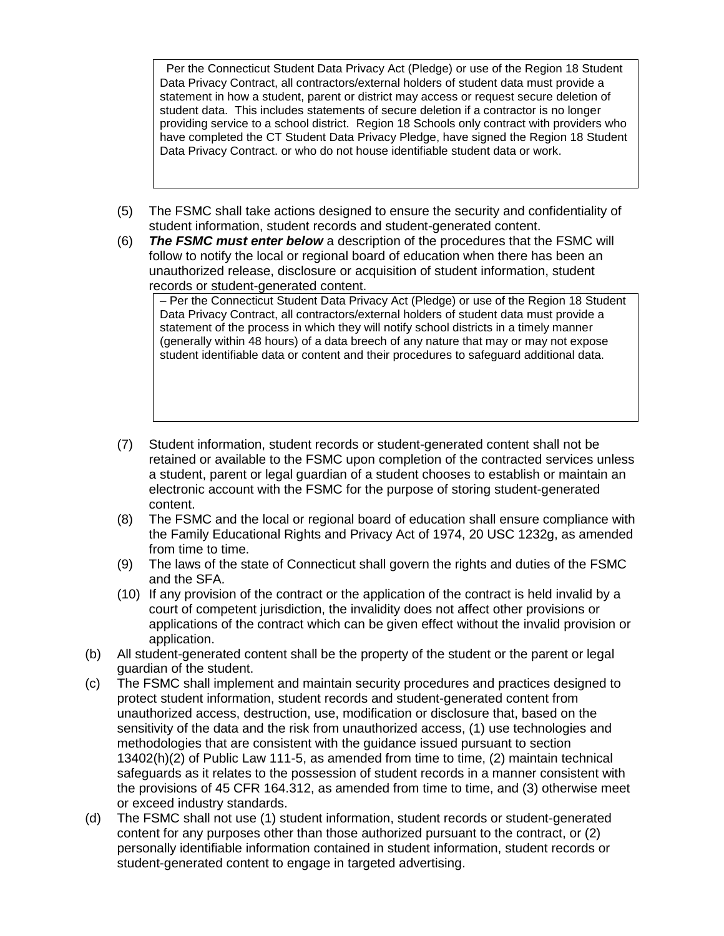Per the Connecticut Student Data Privacy Act (Pledge) or use of the Region 18 Student Data Privacy Contract, all contractors/external holders of student data must provide a statement in how a student, parent or district may access or request secure deletion of student data. This includes statements of secure deletion if a contractor is no longer providing service to a school district. Region 18 Schools only contract with providers who have completed the CT Student Data Privacy Pledge, have signed the Region 18 Student Data Privacy Contract. or who do not house identifiable student data or work.

- (5) The FSMC shall take actions designed to ensure the security and confidentiality of student information, student records and student-generated content.
- (6) *The FSMC must enter below* a description of the procedures that the FSMC will follow to notify the local or regional board of education when there has been an unauthorized release, disclosure or acquisition of student information, student records or student-generated content.

– Per the Connecticut Student Data Privacy Act (Pledge) or use of the Region 18 Student Data Privacy Contract, all contractors/external holders of student data must provide a statement of the process in which they will notify school districts in a timely manner (generally within 48 hours) of a data breech of any nature that may or may not expose student identifiable data or content and their procedures to safeguard additional data.

- (7) Student information, student records or student-generated content shall not be retained or available to the FSMC upon completion of the contracted services unless a student, parent or legal guardian of a student chooses to establish or maintain an electronic account with the FSMC for the purpose of storing student-generated content.
- (8) The FSMC and the local or regional board of education shall ensure compliance with the Family Educational Rights and Privacy Act of 1974, 20 USC 1232g, as amended from time to time.
- (9) The laws of the state of Connecticut shall govern the rights and duties of the FSMC and the SFA.
- (10) If any provision of the contract or the application of the contract is held invalid by a court of competent jurisdiction, the invalidity does not affect other provisions or applications of the contract which can be given effect without the invalid provision or application.
- (b) All student-generated content shall be the property of the student or the parent or legal guardian of the student.
- (c) The FSMC shall implement and maintain security procedures and practices designed to protect student information, student records and student-generated content from unauthorized access, destruction, use, modification or disclosure that, based on the sensitivity of the data and the risk from unauthorized access, (1) use technologies and methodologies that are consistent with the guidance issued pursuant to section 13402(h)(2) of Public Law 111-5, as amended from time to time, (2) maintain technical safeguards as it relates to the possession of student records in a manner consistent with the provisions of 45 CFR 164.312, as amended from time to time, and (3) otherwise meet or exceed industry standards.
- (d) The FSMC shall not use (1) student information, student records or student-generated content for any purposes other than those authorized pursuant to the contract, or (2) personally identifiable information contained in student information, student records or student-generated content to engage in targeted advertising.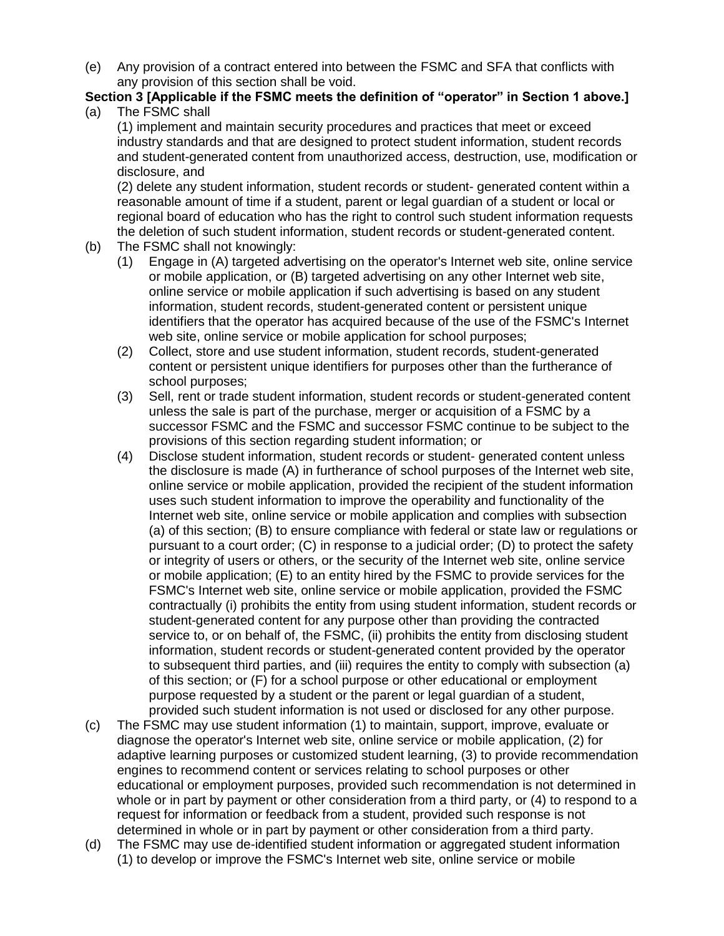(e) Any provision of a contract entered into between the FSMC and SFA that conflicts with any provision of this section shall be void.

#### **Section 3 [Applicable if the FSMC meets the definition of "operator" in Section 1 above.]** (a) The FSMC shall

(1) implement and maintain security procedures and practices that meet or exceed industry standards and that are designed to protect student information, student records and student-generated content from unauthorized access, destruction, use, modification or disclosure, and

(2) delete any student information, student records or student- generated content within a reasonable amount of time if a student, parent or legal guardian of a student or local or regional board of education who has the right to control such student information requests the deletion of such student information, student records or student-generated content.

- (b) The FSMC shall not knowingly:
	- (1) Engage in (A) targeted advertising on the operator's Internet web site, online service or mobile application, or (B) targeted advertising on any other Internet web site, online service or mobile application if such advertising is based on any student information, student records, student-generated content or persistent unique identifiers that the operator has acquired because of the use of the FSMC's Internet web site, online service or mobile application for school purposes;
	- (2) Collect, store and use student information, student records, student-generated content or persistent unique identifiers for purposes other than the furtherance of school purposes;
	- (3) Sell, rent or trade student information, student records or student-generated content unless the sale is part of the purchase, merger or acquisition of a FSMC by a successor FSMC and the FSMC and successor FSMC continue to be subject to the provisions of this section regarding student information; or
	- (4) Disclose student information, student records or student- generated content unless the disclosure is made (A) in furtherance of school purposes of the Internet web site, online service or mobile application, provided the recipient of the student information uses such student information to improve the operability and functionality of the Internet web site, online service or mobile application and complies with subsection (a) of this section; (B) to ensure compliance with federal or state law or regulations or pursuant to a court order; (C) in response to a judicial order; (D) to protect the safety or integrity of users or others, or the security of the Internet web site, online service or mobile application; (E) to an entity hired by the FSMC to provide services for the FSMC's Internet web site, online service or mobile application, provided the FSMC contractually (i) prohibits the entity from using student information, student records or student-generated content for any purpose other than providing the contracted service to, or on behalf of, the FSMC, (ii) prohibits the entity from disclosing student information, student records or student-generated content provided by the operator to subsequent third parties, and (iii) requires the entity to comply with subsection (a) of this section; or (F) for a school purpose or other educational or employment purpose requested by a student or the parent or legal guardian of a student, provided such student information is not used or disclosed for any other purpose.
- (c) The FSMC may use student information (1) to maintain, support, improve, evaluate or diagnose the operator's Internet web site, online service or mobile application, (2) for adaptive learning purposes or customized student learning, (3) to provide recommendation engines to recommend content or services relating to school purposes or other educational or employment purposes, provided such recommendation is not determined in whole or in part by payment or other consideration from a third party, or (4) to respond to a request for information or feedback from a student, provided such response is not determined in whole or in part by payment or other consideration from a third party.
- (d) The FSMC may use de-identified student information or aggregated student information (1) to develop or improve the FSMC's Internet web site, online service or mobile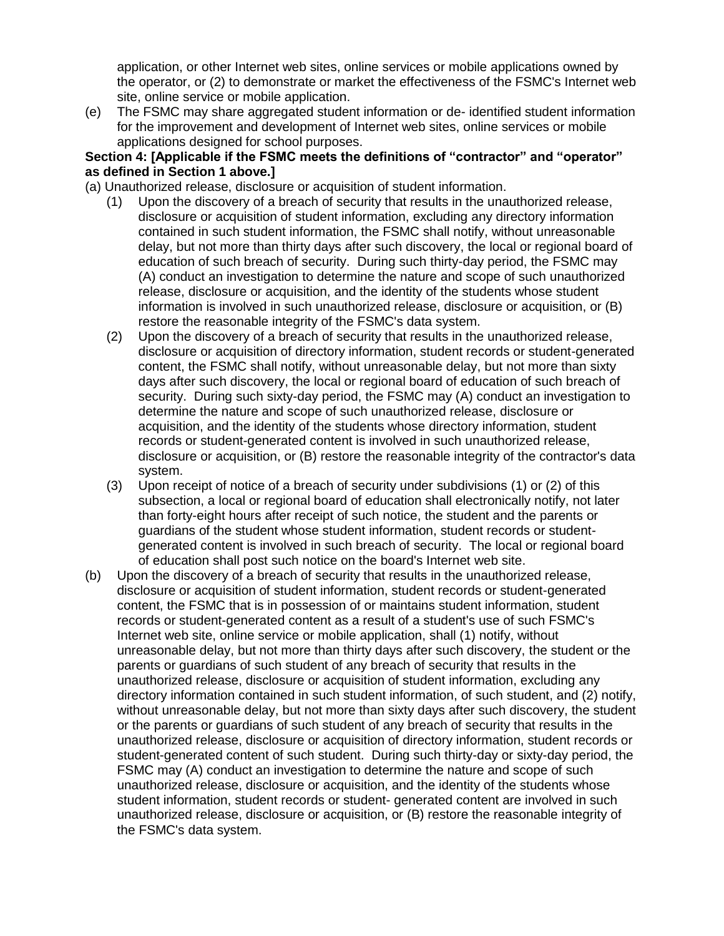application, or other Internet web sites, online services or mobile applications owned by the operator, or (2) to demonstrate or market the effectiveness of the FSMC's Internet web site, online service or mobile application.

(e) The FSMC may share aggregated student information or de- identified student information for the improvement and development of Internet web sites, online services or mobile applications designed for school purposes.

## **Section 4: [Applicable if the FSMC meets the definitions of "contractor" and "operator" as defined in Section 1 above.]**

- (a) Unauthorized release, disclosure or acquisition of student information.
	- (1) Upon the discovery of a breach of security that results in the unauthorized release, disclosure or acquisition of student information, excluding any directory information contained in such student information, the FSMC shall notify, without unreasonable delay, but not more than thirty days after such discovery, the local or regional board of education of such breach of security. During such thirty-day period, the FSMC may (A) conduct an investigation to determine the nature and scope of such unauthorized release, disclosure or acquisition, and the identity of the students whose student information is involved in such unauthorized release, disclosure or acquisition, or (B) restore the reasonable integrity of the FSMC's data system.
	- (2) Upon the discovery of a breach of security that results in the unauthorized release, disclosure or acquisition of directory information, student records or student-generated content, the FSMC shall notify, without unreasonable delay, but not more than sixty days after such discovery, the local or regional board of education of such breach of security. During such sixty-day period, the FSMC may (A) conduct an investigation to determine the nature and scope of such unauthorized release, disclosure or acquisition, and the identity of the students whose directory information, student records or student-generated content is involved in such unauthorized release, disclosure or acquisition, or (B) restore the reasonable integrity of the contractor's data system.
	- (3) Upon receipt of notice of a breach of security under subdivisions (1) or (2) of this subsection, a local or regional board of education shall electronically notify, not later than forty-eight hours after receipt of such notice, the student and the parents or guardians of the student whose student information, student records or studentgenerated content is involved in such breach of security. The local or regional board of education shall post such notice on the board's Internet web site.
- (b) Upon the discovery of a breach of security that results in the unauthorized release, disclosure or acquisition of student information, student records or student-generated content, the FSMC that is in possession of or maintains student information, student records or student-generated content as a result of a student's use of such FSMC's Internet web site, online service or mobile application, shall (1) notify, without unreasonable delay, but not more than thirty days after such discovery, the student or the parents or guardians of such student of any breach of security that results in the unauthorized release, disclosure or acquisition of student information, excluding any directory information contained in such student information, of such student, and (2) notify, without unreasonable delay, but not more than sixty days after such discovery, the student or the parents or guardians of such student of any breach of security that results in the unauthorized release, disclosure or acquisition of directory information, student records or student-generated content of such student. During such thirty-day or sixty-day period, the FSMC may (A) conduct an investigation to determine the nature and scope of such unauthorized release, disclosure or acquisition, and the identity of the students whose student information, student records or student- generated content are involved in such unauthorized release, disclosure or acquisition, or (B) restore the reasonable integrity of the FSMC's data system.